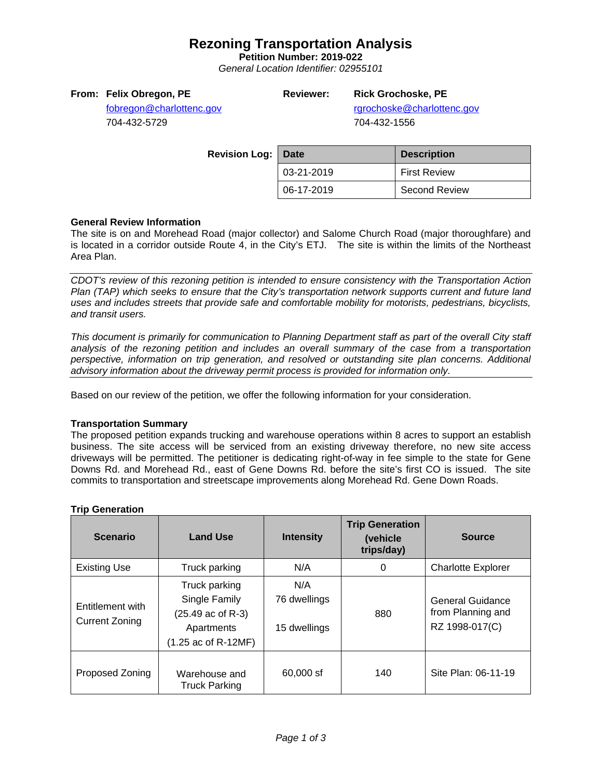# **Rezoning Transportation Analysis**

**Petition Number: 2019-022**

*General Location Identifier: 02955101*

### **From: Felix Obregon, PE**

## **Reviewer: Rick Grochoske, PE**

rgrochoske@charlottenc.gov 704-432-1556

[fobregon@charlottenc.gov](mailto:fobregon@charlottenc.gov) 704-432-5729

> **Revision Log:** Date **Description** 03-21-2019 | First Review 06-17-2019 | Second Review

### **General Review Information**

The site is on and Morehead Road (major collector) and Salome Church Road (major thoroughfare) and is located in a corridor outside Route 4, in the City's ETJ. The site is within the limits of the Northeast Area Plan.

*CDOT's review of this rezoning petition is intended to ensure consistency with the Transportation Action Plan (TAP) which seeks to ensure that the City's transportation network supports current and future land uses and includes streets that provide safe and comfortable mobility for motorists, pedestrians, bicyclists, and transit users.*

*This document is primarily for communication to Planning Department staff as part of the overall City staff analysis of the rezoning petition and includes an overall summary of the case from a transportation perspective, information on trip generation, and resolved or outstanding site plan concerns. Additional advisory information about the driveway permit process is provided for information only.*

Based on our review of the petition, we offer the following information for your consideration.

#### **Transportation Summary**

The proposed petition expands trucking and warehouse operations within 8 acres to support an establish business. The site access will be serviced from an existing driveway therefore, no new site access driveways will be permitted. The petitioner is dedicating right-of-way in fee simple to the state for Gene Downs Rd. and Morehead Rd., east of Gene Downs Rd. before the site's first CO is issued. The site commits to transportation and streetscape improvements along Morehead Rd. Gene Down Roads.

| <b>Scenario</b>                           | <b>Land Use</b>                                                                                              | <b>Intensity</b>                    | <b>Trip Generation</b><br>(vehicle<br>trips/day) | <b>Source</b>                                                  |
|-------------------------------------------|--------------------------------------------------------------------------------------------------------------|-------------------------------------|--------------------------------------------------|----------------------------------------------------------------|
| <b>Existing Use</b>                       | Truck parking                                                                                                | N/A                                 | 0                                                | <b>Charlotte Explorer</b>                                      |
| Entitlement with<br><b>Current Zoning</b> | Truck parking<br>Single Family<br>$(25.49 \text{ ac of R-3})$<br>Apartments<br>$(1.25 \text{ ac of R-12MF})$ | N/A<br>76 dwellings<br>15 dwellings | 880                                              | <b>General Guidance</b><br>from Planning and<br>RZ 1998-017(C) |
| Proposed Zoning                           | Warehouse and<br><b>Truck Parking</b>                                                                        | 60,000 sf                           | 140                                              | Site Plan: 06-11-19                                            |

#### **Trip Generation**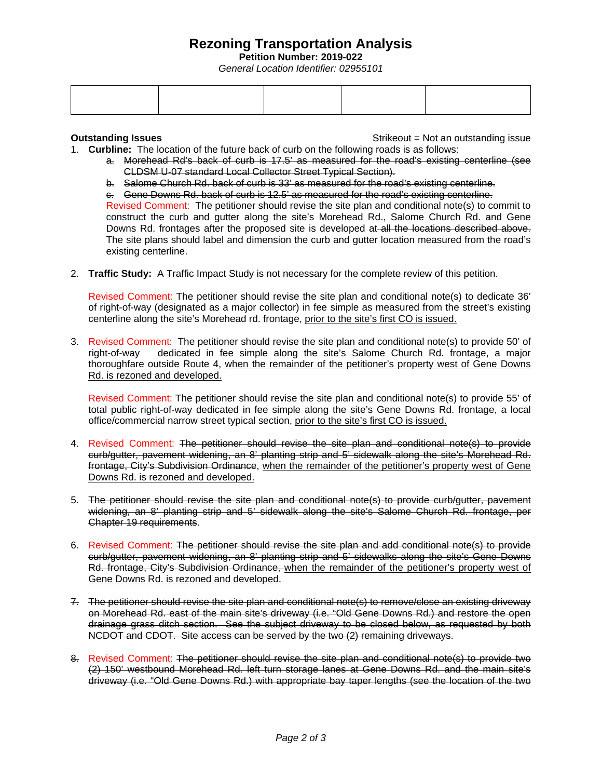# **Rezoning Transportation Analysis**

**Petition Number: 2019-022**

*General Location Identifier: 02955101*

**Outstanding Issues Container and Strikeout = Not an outstanding issue Strikeout = Not an outstanding issue** 

- 1. **Curbline:** The location of the future back of curb on the following roads is as follows:
	- a. Morehead Rd's back of curb is 17.5' as measured for the road's existing centerline (see CLDSM U-07 standard Local Collector Street Typical Section).
	- b. Salome Church Rd. back of curb is 33' as measured for the road's existing centerline.
	- c. Gene Downs Rd. back of curb is 12.5' as measured for the road's existing centerline.

Revised Comment: The petitioner should revise the site plan and conditional note(s) to commit to construct the curb and gutter along the site's Morehead Rd., Salome Church Rd. and Gene Downs Rd. frontages after the proposed site is developed at all the locations described above. The site plans should label and dimension the curb and gutter location measured from the road's existing centerline.

2. **Traffic Study:** A Traffic Impact Study is not necessary for the complete review of this petition.

Revised Comment: The petitioner should revise the site plan and conditional note(s) to dedicate 36' of right-of-way (designated as a major collector) in fee simple as measured from the street's existing centerline along the site's Morehead rd. frontage, prior to the site's first CO is issued.

3. Revised Comment: The petitioner should revise the site plan and conditional note(s) to provide 50' of right-of-way dedicated in fee simple along the site's Salome Church Rd. frontage, a major thoroughfare outside Route 4, when the remainder of the petitioner's property west of Gene Downs Rd. is rezoned and developed.

Revised Comment: The petitioner should revise the site plan and conditional note(s) to provide 55' of total public right-of-way dedicated in fee simple along the site's Gene Downs Rd. frontage, a local office/commercial narrow street typical section, prior to the site's first CO is issued.

- 4. Revised Comment: The petitioner should revise the site plan and conditional note(s) to provide curb/gutter, pavement widening, an 8' planting strip and 5' sidewalk along the site's Morehead Rd. frontage, City's Subdivision Ordinance, when the remainder of the petitioner's property west of Gene Downs Rd. is rezoned and developed.
- 5. The petitioner should revise the site plan and conditional note(s) to provide curb/gutter, pavement widening, an 8' planting strip and 5' sidewalk along the site's Salome Church Rd. frontage, per Chapter 19 requirements.
- 6. Revised Comment: The petitioner should revise the site plan and add conditional note(s) to provide curb/gutter, pavement widening, an 8' planting strip and 5' sidewalks along the site's Gene Downs Rd. frontage, City's Subdivision Ordinance, when the remainder of the petitioner's property west of Gene Downs Rd. is rezoned and developed.
- 7. The petitioner should revise the site plan and conditional note(s) to remove/close an existing driveway on Morehead Rd. east of the main site's driveway (i.e. "Old Gene Downs Rd.) and restore the open drainage grass ditch section. See the subject driveway to be closed below, as requested by both NCDOT and CDOT. Site access can be served by the two (2) remaining driveways.
- 8. Revised Comment: The petitioner should revise the site plan and conditional note(s) to provide two (2) 150' westbound Morehead Rd. left turn storage lanes at Gene Downs Rd. and the main site's driveway (i.e. "Old Gene Downs Rd.) with appropriate bay taper lengths (see the location of the two